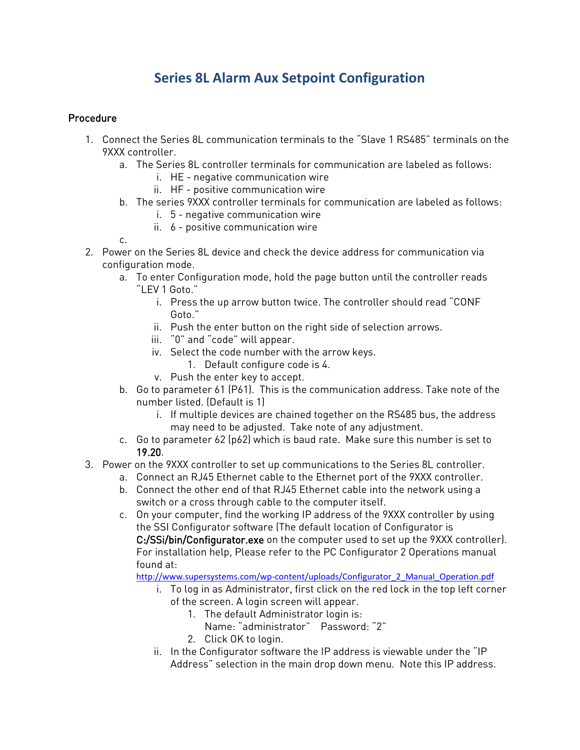## **Series 8L Alarm Aux Setpoint Configuration**

## Procedure

- 1. Connect the Series 8L communication terminals to the "Slave 1 RS485" terminals on the 9XXX controller.
	- a. The Series 8L controller terminals for communication are labeled as follows:
		- i. HE negative communication wire
		- ii. HF positive communication wire
	- b. The series 9XXX controller terminals for communication are labeled as follows:
		- i. 5 negative communication wire
		- ii. 6 positive communication wire
	- c.
- 2. Power on the Series 8L device and check the device address for communication via configuration mode.
	- a. To enter Configuration mode, hold the page button until the controller reads "LEV 1 Goto."
		- i. Press the up arrow button twice. The controller should read "CONF Goto."
		- ii. Push the enter button on the right side of selection arrows.
		- iii. "0" and "code" will appear.
		- iv. Select the code number with the arrow keys.
			- 1. Default configure code is 4.
		- v. Push the enter key to accept.
	- b. Go to parameter 61 (P61). This is the communication address. Take note of the number listed. (Default is 1)
		- i. If multiple devices are chained together on the RS485 bus, the address may need to be adjusted. Take note of any adjustment.
	- c. Go to parameter 62 (p62) which is baud rate. Make sure this number is set to 19.20.
- 3. Power on the 9XXX controller to set up communications to the Series 8L controller.
	- a. Connect an RJ45 Ethernet cable to the Ethernet port of the 9XXX controller.
		- b. Connect the other end of that RJ45 Ethernet cable into the network using a switch or a cross through cable to the computer itself.
		- c. On your computer, find the working IP address of the 9XXX controller by using the SSI Configurator software (The default location of Configurator is C:/SSi/bin/Configurator.exe on the computer used to set up the 9XXX controller). For installation help, Please refer to the PC Configurator 2 Operations manual found at:

[http://www.supersystems.com/wp-content/uploads/Configurator\\_2\\_Manual\\_Operation.pdf](http://www.supersystems.com/wp-content/uploads/Configurator_2_Manual_Operation.pdf)

- i. To log in as Administrator, first click on the red lock in the top left corner of the screen. A login screen will appear.
	- 1. The default Administrator login is:
		- Name: "administrator" Password: "2"
	- 2. Click OK to login.
- ii. In the Configurator software the IP address is viewable under the "IP Address" selection in the main drop down menu. Note this IP address.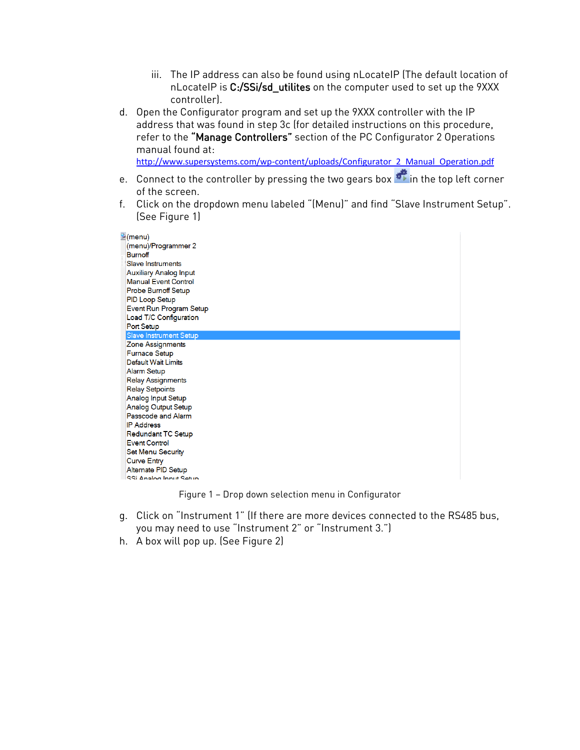- iii. The IP address can also be found using nLocateIP (The default location of nLocateIP is C:/SSi/sd\_utilites on the computer used to set up the 9XXX controller).
- d. Open the Configurator program and set up the 9XXX controller with the IP address that was found in step 3c (for detailed instructions on this procedure, refer to the "Manage Controllers" section of the PC Configurator 2 Operations manual found at:

[http://www.supersystems.com/wp-content/uploads/Configurator\\_2\\_Manual\\_Operation.pdf](http://www.supersystems.com/wp-content/uploads/Configurator_2_Manual_Operation.pdf)

- e. Connect to the controller by pressing the two gears box  $\overrightarrow{p}$  in the top left corner of the screen.
- f. Click on the dropdown menu labeled "(Menu)" and find "Slave Instrument Setup". (See Figure 1)

| Menu)<br>(menu)/Programmer 2<br><b>Burnoff</b><br><b>Slave Instruments</b><br><b>Auxiliary Analog Input</b><br><b>Manual Event Control</b><br>Probe Burnoff Setup<br><b>PID Loop Setup</b> |  |
|--------------------------------------------------------------------------------------------------------------------------------------------------------------------------------------------|--|
| Event Run Program Setup                                                                                                                                                                    |  |
| Load T/C Configuration                                                                                                                                                                     |  |
| Port Setup                                                                                                                                                                                 |  |
| <b>Slave Instrument Setup</b>                                                                                                                                                              |  |
| Zone Assignments                                                                                                                                                                           |  |
| <b>Furnace Setup</b>                                                                                                                                                                       |  |
| <b>Default Wait Limits</b>                                                                                                                                                                 |  |
| <b>Alarm Setup</b>                                                                                                                                                                         |  |
| <b>Relay Assignments</b>                                                                                                                                                                   |  |
| <b>Relay Setpoints</b>                                                                                                                                                                     |  |
| <b>Analog Input Setup</b>                                                                                                                                                                  |  |
| <b>Analog Output Setup</b>                                                                                                                                                                 |  |
| Passcode and Alarm                                                                                                                                                                         |  |
| <b>IP Address</b>                                                                                                                                                                          |  |
| Redundant TC Setup                                                                                                                                                                         |  |
| <b>Event Control</b>                                                                                                                                                                       |  |
| <b>Set Menu Security</b>                                                                                                                                                                   |  |
| <b>Curve Entry</b>                                                                                                                                                                         |  |
| Alternate PID Setup                                                                                                                                                                        |  |
| SSi Anglog Innut Setun                                                                                                                                                                     |  |

Figure 1 – Drop down selection menu in Configurator

- g. Click on "Instrument 1" (If there are more devices connected to the RS485 bus, you may need to use "Instrument 2" or "Instrument 3.")
- h. A box will pop up. (See Figure 2)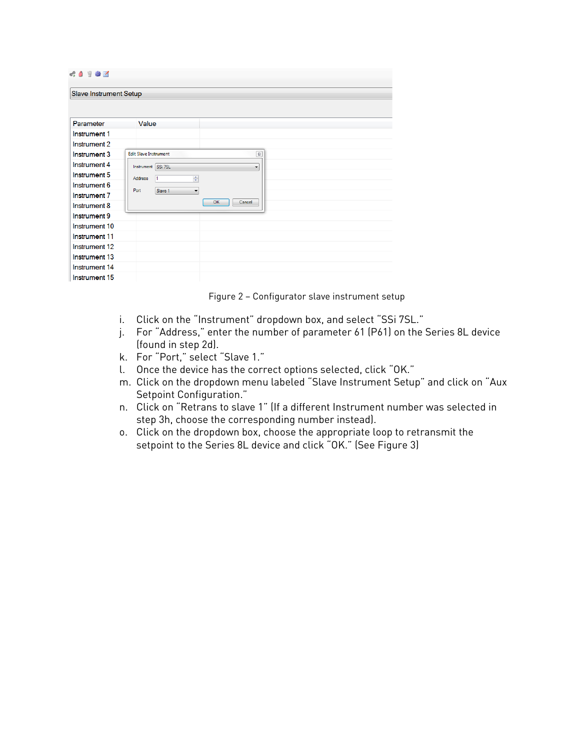| 40<br><b>参回</b>        |                                             |  |  |  |  |  |
|------------------------|---------------------------------------------|--|--|--|--|--|
| Slave Instrument Setup |                                             |  |  |  |  |  |
|                        |                                             |  |  |  |  |  |
|                        |                                             |  |  |  |  |  |
| Parameter              | Value                                       |  |  |  |  |  |
| Instrument 1           |                                             |  |  |  |  |  |
| Instrument 2           |                                             |  |  |  |  |  |
| Instrument 3           | <b>Edit Slave Instrument</b><br>$\boxtimes$ |  |  |  |  |  |
| Instrument 4           | SSi 7SL<br>Instrument<br>۰                  |  |  |  |  |  |
| Instrument 5           | ᆃ<br><b>Address</b><br>Ħ.                   |  |  |  |  |  |
| Instrument 6           | Port<br>Slave 1<br>$\overline{\phantom{a}}$ |  |  |  |  |  |
| Instrument 7           |                                             |  |  |  |  |  |
| Instrument 8           | OK<br>Cancel                                |  |  |  |  |  |
| Instrument 9           |                                             |  |  |  |  |  |
| Instrument 10          |                                             |  |  |  |  |  |
| Instrument 11          |                                             |  |  |  |  |  |
| Instrument 12          |                                             |  |  |  |  |  |
| Instrument 13          |                                             |  |  |  |  |  |
| Instrument 14          |                                             |  |  |  |  |  |
| Instrument 15          |                                             |  |  |  |  |  |

Figure 2 – Configurator slave instrument setup

- i. Click on the "Instrument" dropdown box, and select "SSi 7SL."
- j. For "Address," enter the number of parameter 61 (P61) on the Series 8L device (found in step 2d).
- k. For "Port," select "Slave 1."
- l. Once the device has the correct options selected, click "OK."
- m. Click on the dropdown menu labeled "Slave Instrument Setup" and click on "Aux Setpoint Configuration."
- n. Click on "Retrans to slave 1" (If a different Instrument number was selected in step 3h, choose the corresponding number instead).
- o. Click on the dropdown box, choose the appropriate loop to retransmit the setpoint to the Series 8L device and click "OK." (See Figure 3)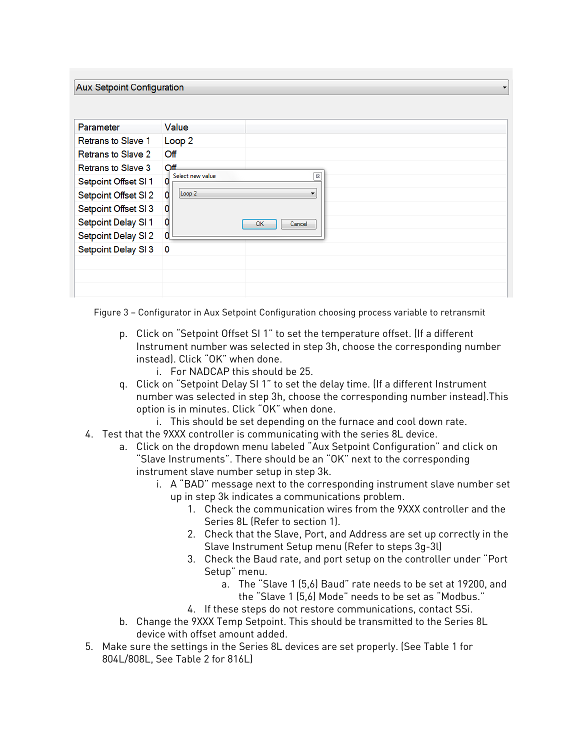|  | <b>Aux Setpoint Configuration</b> |  |  |
|--|-----------------------------------|--|--|
|  |                                   |  |  |

| Parameter                 | Value                                  |
|---------------------------|----------------------------------------|
| <b>Retrans to Slave 1</b> | Loop <sub>2</sub>                      |
| <b>Retrans to Slave 2</b> | Off                                    |
| <b>Retrans to Slave 3</b> | Off                                    |
| Setpoint Offset SI 1      | Select new value<br>$\boldsymbol{\Xi}$ |
| Setpoint Offset SI 2      | Loop <sub>2</sub><br>0<br>▼            |
| Setpoint Offset SI 3      |                                        |
| Setpoint Delay SI 1       | OK<br>Cancel                           |
| Setpoint Delay SI 2       | 0                                      |
| Setpoint Delay SI 3       | $\overline{\mathbf{0}}$                |
|                           |                                        |
|                           |                                        |
|                           |                                        |

Figure 3 – Configurator in Aux Setpoint Configuration choosing process variable to retransmit

- p. Click on "Setpoint Offset SI 1" to set the temperature offset. (If a different Instrument number was selected in step 3h, choose the corresponding number instead). Click "OK" when done.
	- i. For NADCAP this should be 25.
- q. Click on "Setpoint Delay SI 1" to set the delay time. (If a different Instrument number was selected in step 3h, choose the corresponding number instead).This option is in minutes. Click "OK" when done.
	- i. This should be set depending on the furnace and cool down rate.
- 4. Test that the 9XXX controller is communicating with the series 8L device.
	- a. Click on the dropdown menu labeled "Aux Setpoint Configuration" and click on "Slave Instruments". There should be an "OK" next to the corresponding instrument slave number setup in step 3k.
		- i. A "BAD" message next to the corresponding instrument slave number set up in step 3k indicates a communications problem.
			- 1. Check the communication wires from the 9XXX controller and the Series 8L (Refer to section 1).
			- 2. Check that the Slave, Port, and Address are set up correctly in the Slave Instrument Setup menu (Refer to steps 3g-3l)
			- 3. Check the Baud rate, and port setup on the controller under "Port Setup" menu.
				- a. The "Slave 1 (5,6) Baud" rate needs to be set at 19200, and the "Slave 1 (5,6) Mode" needs to be set as "Modbus."
			- 4. If these steps do not restore communications, contact SSi.
	- b. Change the 9XXX Temp Setpoint. This should be transmitted to the Series 8L device with offset amount added.
- 5. Make sure the settings in the Series 8L devices are set properly. (See Table 1 for 804L/808L, See Table 2 for 816L)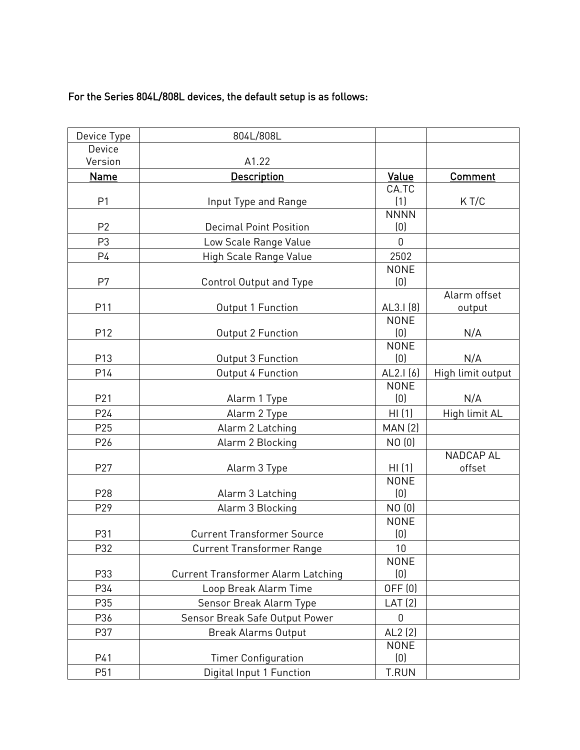## For the Series 804L/808L devices, the default setup is as follows:

| Device Type    | 804L/808L                                 |                    |                   |
|----------------|-------------------------------------------|--------------------|-------------------|
| Device         |                                           |                    |                   |
| Version        | A1.22                                     |                    |                   |
| <b>Name</b>    | <b>Description</b>                        | Value              | <b>Comment</b>    |
|                |                                           | CA.TC              |                   |
| P <sub>1</sub> | Input Type and Range                      | (1)                | KT/C              |
|                |                                           | <b>NNNN</b>        |                   |
| P <sub>2</sub> | <b>Decimal Point Position</b>             | (0)                |                   |
| P <sub>3</sub> | Low Scale Range Value                     | 0                  |                   |
| P4             | High Scale Range Value                    | 2502               |                   |
|                |                                           | <b>NONE</b>        |                   |
| P7             | Control Output and Type                   | (0)                |                   |
|                |                                           |                    | Alarm offset      |
| P11            | Output 1 Function                         | AL3.I (8)          | output            |
|                |                                           | <b>NONE</b>        |                   |
| P12            | Output 2 Function                         | (0)                | N/A               |
| P13            | Output 3 Function                         | <b>NONE</b><br>(0) | N/A               |
|                |                                           |                    |                   |
| P14            | Output 4 Function                         | AL2.I(6)           | High limit output |
| P21            | Alarm 1 Type                              | <b>NONE</b><br>(0) | N/A               |
|                |                                           |                    |                   |
| P24            | Alarm 2 Type                              | HI(1)              | High limit AL     |
| P25            | Alarm 2 Latching                          | <b>MAN (2)</b>     |                   |
| P26            | Alarm 2 Blocking                          | NO (0)             |                   |
|                |                                           |                    | NADCAP AL         |
| P27            | Alarm 3 Type                              | HI(1)              | offset            |
|                |                                           | <b>NONE</b>        |                   |
| P28            | Alarm 3 Latching                          | (0)                |                   |
| P29            | Alarm 3 Blocking                          | NO (0)             |                   |
|                |                                           | <b>NONE</b>        |                   |
| P31            | <b>Current Transformer Source</b>         | (0)                |                   |
| P32            | <b>Current Transformer Range</b>          | 10                 |                   |
|                |                                           | <b>NONE</b>        |                   |
| P33            | <b>Current Transformer Alarm Latching</b> | (0)                |                   |
| P34            | Loop Break Alarm Time                     | OFF (0)            |                   |
| P35            | Sensor Break Alarm Type                   | LAT(2)             |                   |
| P36            | Sensor Break Safe Output Power            | 0                  |                   |
| P37            | <b>Break Alarms Output</b>                | $AL2$ (2)          |                   |
|                |                                           | <b>NONE</b>        |                   |
| P41            | <b>Timer Configuration</b>                | (0)                |                   |
| P51            | Digital Input 1 Function                  | <b>T.RUN</b>       |                   |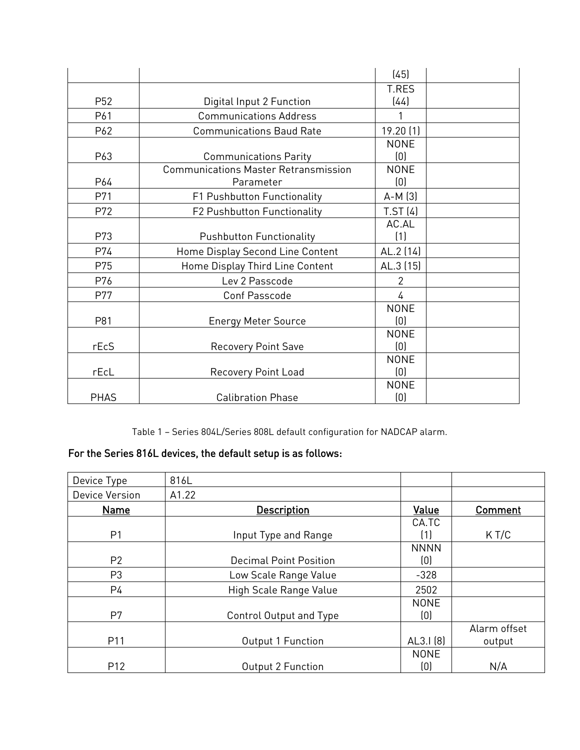|                 |                                             | (45)           |  |
|-----------------|---------------------------------------------|----------------|--|
|                 |                                             | <b>T.RES</b>   |  |
| P <sub>52</sub> | Digital Input 2 Function                    | (44)           |  |
| P61             | <b>Communications Address</b>               | 1              |  |
| P62             | <b>Communications Baud Rate</b>             | 19.20(1)       |  |
|                 |                                             | <b>NONE</b>    |  |
| P63             | <b>Communications Parity</b>                | (0)            |  |
|                 | <b>Communications Master Retransmission</b> | <b>NONE</b>    |  |
| P64             | Parameter                                   | (0)            |  |
| P71             | F1 Pushbutton Functionality                 | $A-M(3)$       |  |
| P72             | <b>F2 Pushbutton Functionality</b>          | TST(4)         |  |
|                 |                                             | AC.AL          |  |
| P73             | <b>Pushbutton Functionality</b>             | (1)            |  |
| P74             | Home Display Second Line Content            | AL.2 (14)      |  |
| P75             | Home Display Third Line Content             | AL.3 (15)      |  |
| P76             | Lev 2 Passcode                              | $\overline{2}$ |  |
| P77             | <b>Conf Passcode</b>                        | $\overline{4}$ |  |
|                 |                                             | <b>NONE</b>    |  |
| P81             | <b>Energy Meter Source</b>                  | (0)            |  |
|                 |                                             | <b>NONE</b>    |  |
| rEcS            | <b>Recovery Point Save</b>                  | (0)            |  |
|                 |                                             | <b>NONE</b>    |  |
| rEcl            | <b>Recovery Point Load</b>                  | (0)            |  |
|                 |                                             | <b>NONE</b>    |  |
| <b>PHAS</b>     | <b>Calibration Phase</b>                    | (0)            |  |

Table 1 – Series 804L/Series 808L default configuration for NADCAP alarm.

## For the Series 816L devices, the default setup is as follows:

| Device Type     | 816L                          |                    |                        |
|-----------------|-------------------------------|--------------------|------------------------|
| Device Version  | A1.22                         |                    |                        |
| Name            | <b>Description</b>            | Value              | Comment                |
| P <sub>1</sub>  | Input Type and Range          | CA.TC<br>〔1〕       | K T/C                  |
| P <sub>2</sub>  | <b>Decimal Point Position</b> | <b>NNNN</b><br>(0) |                        |
| P <sub>3</sub>  | Low Scale Range Value         | $-328$             |                        |
| P4              | High Scale Range Value        | 2502               |                        |
| P7              | Control Output and Type       | <b>NONE</b><br>(0) |                        |
| P11             | Output 1 Function             | AL3.1(8)           | Alarm offset<br>output |
| P <sub>12</sub> | <b>Output 2 Function</b>      | <b>NONE</b><br>(0) | N/A                    |